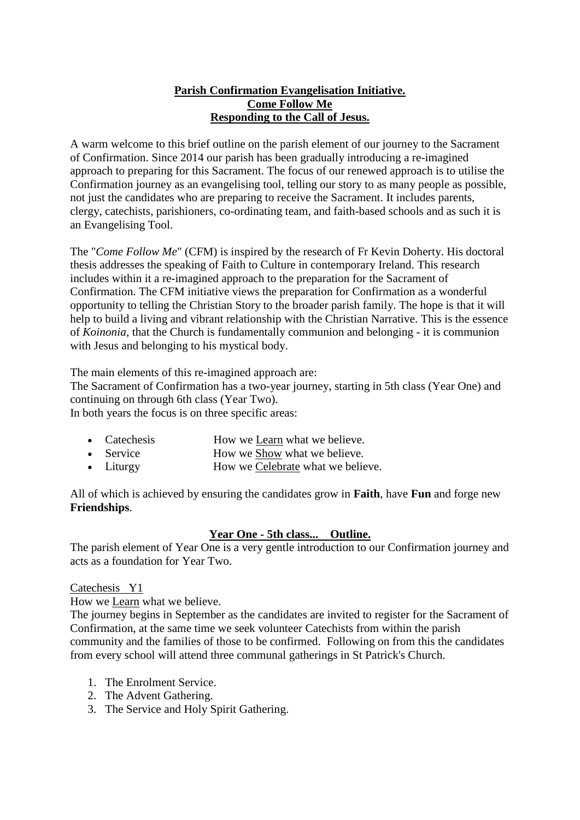## **Parish Confirmation Evangelisation Initiative. Come Follow Me Responding to the Call of Jesus.**

A warm welcome to this brief outline on the parish element of our journey to the Sacrament of Confirmation. Since 2014 our parish has been gradually introducing a re-imagined approach to preparing for this Sacrament. The focus of our renewed approach is to utilise the Confirmation journey as an evangelising tool, telling our story to as many people as possible, not just the candidates who are preparing to receive the Sacrament. It includes parents, clergy, catechists, parishioners, co-ordinating team, and faith-based schools and as such it is an Evangelising Tool.

The "*Come Follow Me*" (CFM) is inspired by the research of Fr Kevin Doherty. His doctoral thesis addresses the speaking of Faith to Culture in contemporary Ireland. This research includes within it a re-imagined approach to the preparation for the Sacrament of Confirmation. The CFM initiative views the preparation for Confirmation as a wonderful opportunity to telling the Christian Story to the broader parish family. The hope is that it will help to build a living and vibrant relationship with the Christian Narrative. This is the essence of *Koinonia*, that the Church is fundamentally communion and belonging - it is communion with Jesus and belonging to his mystical body.

The main elements of this re-imagined approach are:

The Sacrament of Confirmation has a two-year journey, starting in 5th class (Year One) and continuing on through 6th class (Year Two).

In both years the focus is on three specific areas:

|  | Catechesis | How we Learn what we believe. |
|--|------------|-------------------------------|
|--|------------|-------------------------------|

- Service How we Show what we believe.
- Liturgy How we Celebrate what we believe.

All of which is achieved by ensuring the candidates grow in **Faith**, have **Fun** and forge new **Friendships**.

## **Year One - 5th class... Outline.**

The parish element of Year One is a very gentle introduction to our Confirmation journey and acts as a foundation for Year Two.

Catechesis Y1

How we Learn what we believe.

The journey begins in September as the candidates are invited to register for the Sacrament of Confirmation, at the same time we seek volunteer Catechists from within the parish community and the families of those to be confirmed. Following on from this the candidates from every school will attend three communal gatherings in St Patrick's Church.

- 1. The Enrolment Service.
- 2. The Advent Gathering.
- 3. The Service and Holy Spirit Gathering.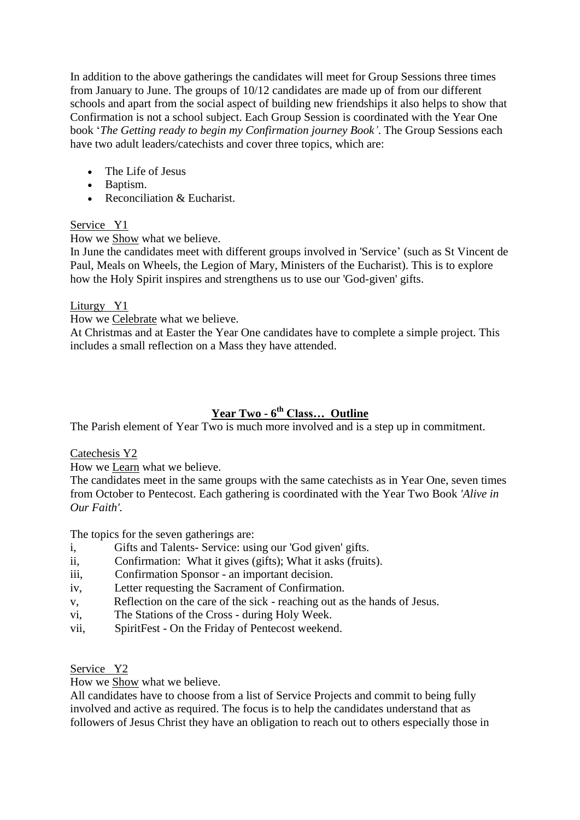In addition to the above gatherings the candidates will meet for Group Sessions three times from January to June. The groups of 10/12 candidates are made up of from our different schools and apart from the social aspect of building new friendships it also helps to show that Confirmation is not a school subject. Each Group Session is coordinated with the Year One book '*The Getting ready to begin my Confirmation journey Book'*. The Group Sessions each have two adult leaders/catechists and cover three topics, which are:

- The Life of Jesus
- Baptism.
- Reconciliation  $& Eucharist.$

## Service Y1

How we Show what we believe.

In June the candidates meet with different groups involved in 'Service' (such as St Vincent de Paul, Meals on Wheels, the Legion of Mary, Ministers of the Eucharist). This is to explore how the Holy Spirit inspires and strengthens us to use our 'God-given' gifts.

Liturgy Y1

How we Celebrate what we believe.

At Christmas and at Easter the Year One candidates have to complete a simple project. This includes a small reflection on a Mass they have attended.

# **Year Two - 6 th Class… Outline**

The Parish element of Year Two is much more involved and is a step up in commitment.

Catechesis Y2

How we Learn what we believe.

The candidates meet in the same groups with the same catechists as in Year One, seven times from October to Pentecost. Each gathering is coordinated with the Year Two Book *'Alive in Our Faith'.*

The topics for the seven gatherings are:

- i, Gifts and Talents- Service: using our 'God given' gifts.
- ii, Confirmation: What it gives (gifts); What it asks (fruits).
- iii, Confirmation Sponsor an important decision.
- iv, Letter requesting the Sacrament of Confirmation.
- v, Reflection on the care of the sick reaching out as the hands of Jesus.
- vi, The Stations of the Cross during Holy Week.
- vii, SpiritFest On the Friday of Pentecost weekend.

Service Y2

How we Show what we believe.

All candidates have to choose from a list of Service Projects and commit to being fully involved and active as required. The focus is to help the candidates understand that as followers of Jesus Christ they have an obligation to reach out to others especially those in